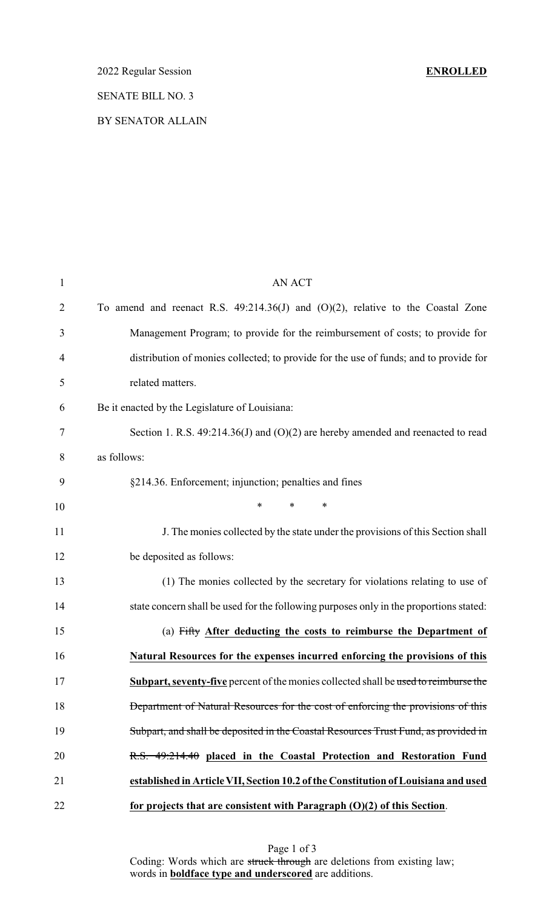2022 Regular Session **ENROLLED**

# SENATE BILL NO. 3

BY SENATOR ALLAIN

| $\mathbf{1}$   | <b>AN ACT</b>                                                                           |
|----------------|-----------------------------------------------------------------------------------------|
| $\overline{2}$ | To amend and reenact R.S. $49:214.36(J)$ and $(O)(2)$ , relative to the Coastal Zone    |
| 3              | Management Program; to provide for the reimbursement of costs; to provide for           |
| 4              | distribution of monies collected; to provide for the use of funds; and to provide for   |
| 5              | related matters.                                                                        |
| 6              | Be it enacted by the Legislature of Louisiana:                                          |
| 7              | Section 1. R.S. $49:214.36(J)$ and $(O)(2)$ are hereby amended and reenacted to read    |
| 8              | as follows:                                                                             |
| 9              | §214.36. Enforcement; injunction; penalties and fines                                   |
| 10             | $\ast$<br>$\ast$<br>$\ast$                                                              |
| 11             | J. The monies collected by the state under the provisions of this Section shall         |
| 12             | be deposited as follows:                                                                |
| 13             | (1) The monies collected by the secretary for violations relating to use of             |
| 14             | state concern shall be used for the following purposes only in the proportions stated:  |
| 15             | (a) Fifty After deducting the costs to reimburse the Department of                      |
| 16             | Natural Resources for the expenses incurred enforcing the provisions of this            |
| 17             | Subpart, seventy-five percent of the monies collected shall be used to reimburse the    |
| 18             | <b>Department of Natural Resources for the cost of enforcing the provisions of this</b> |
| 19             | Subpart, and shall be deposited in the Coastal Resources Trust Fund, as provided in     |
| 20             | R.S. 49:214.40 placed in the Coastal Protection and Restoration Fund                    |
| 21             | established in Article VII, Section 10.2 of the Constitution of Louisiana and used      |
| 22             | for projects that are consistent with Paragraph $(0)(2)$ of this Section.               |

Page 1 of 3 Coding: Words which are struck through are deletions from existing law; words in **boldface type and underscored** are additions.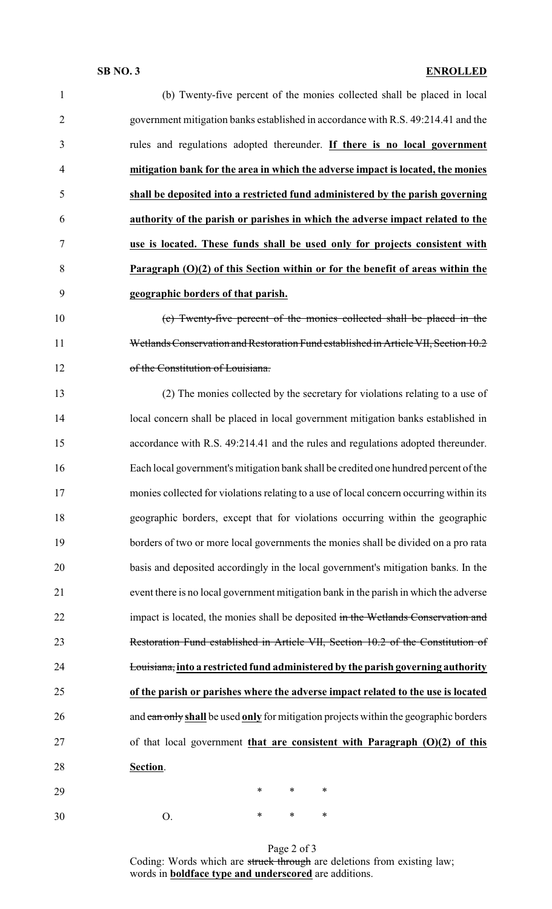## **SB NO. 3 ENROLLED**

| $\mathbf{1}$   | (b) Twenty-five percent of the monies collected shall be placed in local                 |
|----------------|------------------------------------------------------------------------------------------|
| $\overline{2}$ | government mitigation banks established in accordance with R.S. 49:214.41 and the        |
| 3              | rules and regulations adopted thereunder. If there is no local government                |
| 4              | mitigation bank for the area in which the adverse impact is located, the monies          |
| 5              | shall be deposited into a restricted fund administered by the parish governing           |
| 6              | authority of the parish or parishes in which the adverse impact related to the           |
| 7              | use is located. These funds shall be used only for projects consistent with              |
| 8              | Paragraph $(O)(2)$ of this Section within or for the benefit of areas within the         |
| 9              | geographic borders of that parish.                                                       |
| 10             | (c) Twenty-five percent of the monies collected shall be placed in the                   |
| 11             | Wetlands Conservation and Restoration Fund established in Article VII, Section 10.2      |
| 12             | of the Constitution of Louisiana.                                                        |
| 13             | (2) The monies collected by the secretary for violations relating to a use of            |
| 14             | local concern shall be placed in local government mitigation banks established in        |
| 15             | accordance with R.S. 49:214.41 and the rules and regulations adopted thereunder.         |
| 16             | Each local government's mitigation bank shall be credited one hundred percent of the     |
| 17             | monies collected for violations relating to a use of local concern occurring within its  |
| 18             | geographic borders, except that for violations occurring within the geographic           |
| 19             | borders of two or more local governments the monies shall be divided on a pro rata       |
| 20             | basis and deposited accordingly in the local government's mitigation banks. In the       |
| 21             | event there is no local government mitigation bank in the parish in which the adverse    |
| 22             | impact is located, the monies shall be deposited in the Wetlands Conservation and        |
| 23             | Restoration Fund established in Article VII, Section 10.2 of the Constitution of         |
| 24             | <b>Louisiana</b> , into a restricted fund administered by the parish governing authority |
| 25             | of the parish or parishes where the adverse impact related to the use is located         |
| 26             | and can only shall be used only for mitigation projects within the geographic borders    |
| 27             | of that local government that are consistent with Paragraph $(O)(2)$ of this             |
| 28             | Section.                                                                                 |
| 29             | $\ast$<br>∗<br>∗                                                                         |
| 30             | ∗<br>∗<br>∗<br>O.                                                                        |

Page 2 of 3 Coding: Words which are struck through are deletions from existing law; words in **boldface type and underscored** are additions.